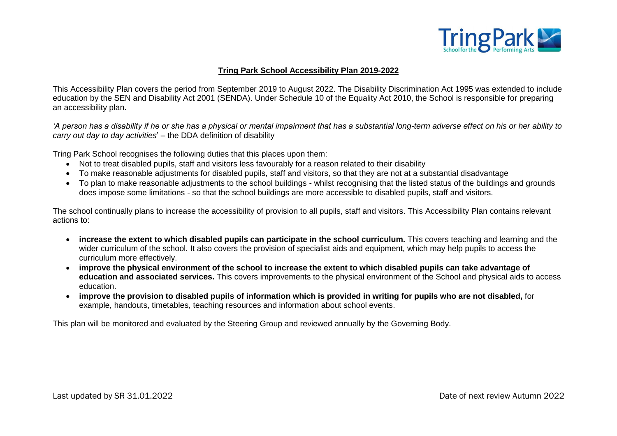

## **Tring Park School Accessibility Plan 2019-2022**

This Accessibility Plan covers the period from September 2019 to August 2022. The Disability Discrimination Act 1995 was extended to include education by the SEN and Disability Act 2001 (SENDA). Under Schedule 10 of the Equality Act 2010, the School is responsible for preparing an accessibility plan.

*'A person has a disability if he or she has a physical or mental impairment that has a substantial long-term adverse effect on his or her ability to carry out day to day activities*' – the DDA definition of disability

Tring Park School recognises the following duties that this places upon them:

- Not to treat disabled pupils, staff and visitors less favourably for a reason related to their disability
- To make reasonable adjustments for disabled pupils, staff and visitors, so that they are not at a substantial disadvantage
- To plan to make reasonable adjustments to the school buildings whilst recognising that the listed status of the buildings and grounds does impose some limitations - so that the school buildings are more accessible to disabled pupils, staff and visitors.

The school continually plans to increase the accessibility of provision to all pupils, staff and visitors. This Accessibility Plan contains relevant actions to:

- **increase the extent to which disabled pupils can participate in the school curriculum.** This covers teaching and learning and the wider curriculum of the school. It also covers the provision of specialist aids and equipment, which may help pupils to access the curriculum more effectively.
- **improve the physical environment of the school to increase the extent to which disabled pupils can take advantage of education and associated services.** This covers improvements to the physical environment of the School and physical aids to access education.
- **improve the provision to disabled pupils of information which is provided in writing for pupils who are not disabled,** for example, handouts, timetables, teaching resources and information about school events.

This plan will be monitored and evaluated by the Steering Group and reviewed annually by the Governing Body.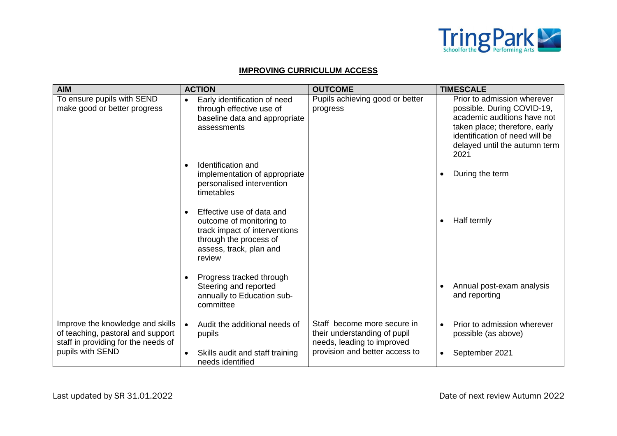

## **IMPROVING CURRICULUM ACCESS**

| <b>AIM</b>                                                                                                   | <b>ACTION</b>                                                                                                                                                      | <b>OUTCOME</b>                                                                            | <b>TIMESCALE</b>                                                                                                                                                                                     |
|--------------------------------------------------------------------------------------------------------------|--------------------------------------------------------------------------------------------------------------------------------------------------------------------|-------------------------------------------------------------------------------------------|------------------------------------------------------------------------------------------------------------------------------------------------------------------------------------------------------|
| To ensure pupils with SEND<br>make good or better progress                                                   | Early identification of need<br>$\bullet$<br>through effective use of<br>baseline data and appropriate<br>assessments                                              | Pupils achieving good or better<br>progress                                               | Prior to admission wherever<br>possible. During COVID-19,<br>academic auditions have not<br>taken place; therefore, early<br>identification of need will be<br>delayed until the autumn term<br>2021 |
|                                                                                                              | Identification and<br>$\bullet$<br>implementation of appropriate<br>personalised intervention<br>timetables                                                        |                                                                                           | During the term                                                                                                                                                                                      |
|                                                                                                              | Effective use of data and<br>$\bullet$<br>outcome of monitoring to<br>track impact of interventions<br>through the process of<br>assess, track, plan and<br>review |                                                                                           | Half termly                                                                                                                                                                                          |
|                                                                                                              | Progress tracked through<br>$\bullet$<br>Steering and reported<br>annually to Education sub-<br>committee                                                          |                                                                                           | Annual post-exam analysis<br>and reporting                                                                                                                                                           |
| Improve the knowledge and skills<br>of teaching, pastoral and support<br>staff in providing for the needs of | Audit the additional needs of<br>pupils                                                                                                                            | Staff become more secure in<br>their understanding of pupil<br>needs, leading to improved | Prior to admission wherever<br>$\bullet$<br>possible (as above)                                                                                                                                      |
| pupils with SEND                                                                                             | Skills audit and staff training<br>$\bullet$<br>needs identified                                                                                                   | provision and better access to                                                            | September 2021                                                                                                                                                                                       |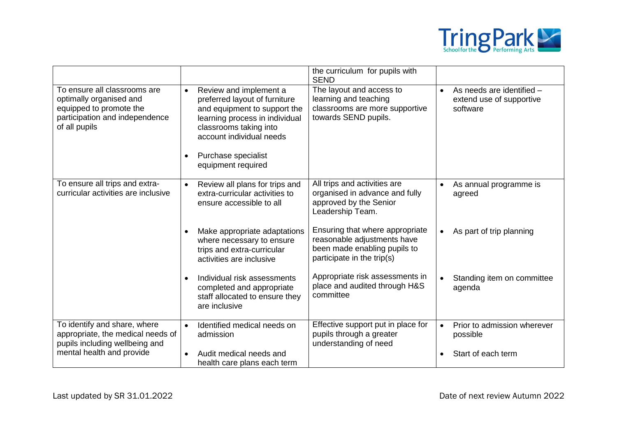

|                                                                                                                                       |                                                                                                                                                                                                                                                        | the curriculum for pupils with<br><b>SEND</b>                                                                                |                                                                   |
|---------------------------------------------------------------------------------------------------------------------------------------|--------------------------------------------------------------------------------------------------------------------------------------------------------------------------------------------------------------------------------------------------------|------------------------------------------------------------------------------------------------------------------------------|-------------------------------------------------------------------|
| To ensure all classrooms are<br>optimally organised and<br>equipped to promote the<br>participation and independence<br>of all pupils | Review and implement a<br>$\bullet$<br>preferred layout of furniture<br>and equipment to support the<br>learning process in individual<br>classrooms taking into<br>account individual needs<br>Purchase specialist<br>$\bullet$<br>equipment required | The layout and access to<br>learning and teaching<br>classrooms are more supportive<br>towards SEND pupils.                  | As needs are identified -<br>extend use of supportive<br>software |
| To ensure all trips and extra-<br>curricular activities are inclusive                                                                 | Review all plans for trips and<br>$\bullet$<br>extra-curricular activities to<br>ensure accessible to all                                                                                                                                              | All trips and activities are<br>organised in advance and fully<br>approved by the Senior<br>Leadership Team.                 | As annual programme is<br>agreed                                  |
|                                                                                                                                       | Make appropriate adaptations<br>$\bullet$<br>where necessary to ensure<br>trips and extra-curricular<br>activities are inclusive                                                                                                                       | Ensuring that where appropriate<br>reasonable adjustments have<br>been made enabling pupils to<br>participate in the trip(s) | As part of trip planning                                          |
|                                                                                                                                       | Individual risk assessments<br>$\bullet$<br>completed and appropriate<br>staff allocated to ensure they<br>are inclusive                                                                                                                               | Appropriate risk assessments in<br>place and audited through H&S<br>committee                                                | Standing item on committee<br>agenda                              |
| To identify and share, where<br>appropriate, the medical needs of<br>pupils including wellbeing and                                   | Identified medical needs on<br>$\bullet$<br>admission                                                                                                                                                                                                  | Effective support put in place for<br>pupils through a greater<br>understanding of need                                      | Prior to admission wherever<br>possible                           |
| mental health and provide                                                                                                             | Audit medical needs and<br>$\bullet$<br>health care plans each term                                                                                                                                                                                    |                                                                                                                              | Start of each term                                                |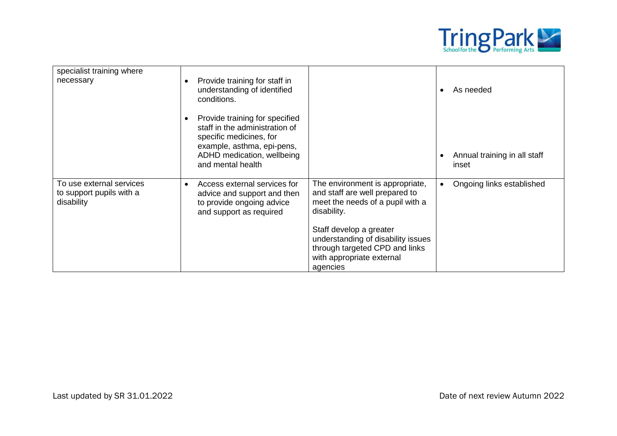

| specialist training where<br>necessary                             | Provide training for staff in<br>$\bullet$<br>understanding of identified<br>conditions.                                                                                                  |                                                                                                                                          | As needed                             |
|--------------------------------------------------------------------|-------------------------------------------------------------------------------------------------------------------------------------------------------------------------------------------|------------------------------------------------------------------------------------------------------------------------------------------|---------------------------------------|
|                                                                    | Provide training for specified<br>$\bullet$<br>staff in the administration of<br>specific medicines, for<br>example, asthma, epi-pens,<br>ADHD medication, wellbeing<br>and mental health |                                                                                                                                          | Annual training in all staff<br>inset |
| To use external services<br>to support pupils with a<br>disability | Access external services for<br>$\bullet$<br>advice and support and then<br>to provide ongoing advice<br>and support as required                                                          | The environment is appropriate,<br>and staff are well prepared to<br>meet the needs of a pupil with a<br>disability.                     | Ongoing links established             |
|                                                                    |                                                                                                                                                                                           | Staff develop a greater<br>understanding of disability issues<br>through targeted CPD and links<br>with appropriate external<br>agencies |                                       |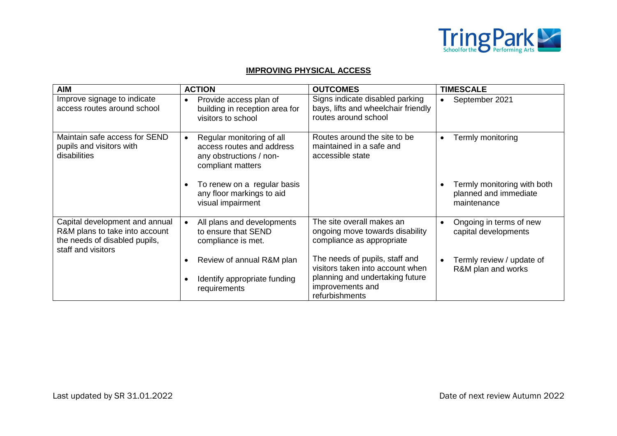

## **IMPROVING PHYSICAL ACCESS**

| <b>AIM</b>                                                                                                              | <b>ACTION</b>                                                                                                       | <b>OUTCOMES</b>                                                                                | <b>TIMESCALE</b>                                                    |
|-------------------------------------------------------------------------------------------------------------------------|---------------------------------------------------------------------------------------------------------------------|------------------------------------------------------------------------------------------------|---------------------------------------------------------------------|
| Improve signage to indicate<br>access routes around school                                                              | Provide access plan of<br>$\bullet$<br>building in reception area for<br>visitors to school                         | Signs indicate disabled parking<br>bays, lifts and wheelchair friendly<br>routes around school | September 2021                                                      |
| Maintain safe access for SEND<br>pupils and visitors with<br>disabilities                                               | Regular monitoring of all<br>$\bullet$<br>access routes and address<br>any obstructions / non-<br>compliant matters | Routes around the site to be<br>maintained in a safe and<br>accessible state                   | Termly monitoring<br>$\bullet$                                      |
|                                                                                                                         | To renew on a regular basis<br>$\bullet$<br>any floor markings to aid<br>visual impairment                          |                                                                                                | Termly monitoring with both<br>planned and immediate<br>maintenance |
| Capital development and annual<br>R&M plans to take into account<br>the needs of disabled pupils,<br>staff and visitors | All plans and developments<br>to ensure that SEND<br>compliance is met.                                             | The site overall makes an<br>ongoing move towards disability<br>compliance as appropriate      | Ongoing in terms of new<br>capital developments                     |
|                                                                                                                         | Review of annual R&M plan                                                                                           | The needs of pupils, staff and<br>visitors taken into account when                             | Termly review / update of<br>R&M plan and works                     |
|                                                                                                                         | Identify appropriate funding<br>requirements                                                                        | planning and undertaking future<br>improvements and<br>refurbishments                          |                                                                     |